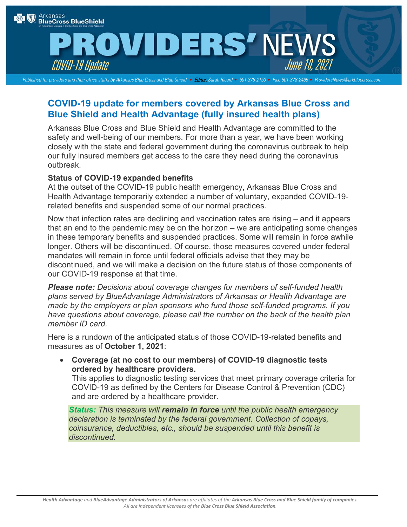

## **ROVIDERS' NEWS** COVID-19 Update June 10,2021

*Published for providers and their office staffs by Arkansas Blue Cross and Blue Shield •* Editor: *Sarah Ricard • 501-378-2150 • Fax: 501-378-2465 • [ProvidersNews@arkbluecross.com](mailto:ProvidersNews@arkbluecross.com)*

## **COVID-19 update for members covered by Arkansas Blue Cross and Blue Shield and Health Advantage (fully insured health plans)**

Arkansas Blue Cross and Blue Shield and Health Advantage are committed to the safety and well-being of our members. For more than a year, we have been working closely with the state and federal government during the coronavirus outbreak to help our fully insured members get access to the care they need during the coronavirus outbreak.

## **Status of COVID-19 expanded benefits**

At the outset of the COVID-19 public health emergency, Arkansas Blue Cross and Health Advantage temporarily extended a number of voluntary, expanded COVID-19 related benefits and suspended some of our normal practices.

Now that infection rates are declining and vaccination rates are rising – and it appears that an end to the pandemic may be on the horizon – we are anticipating some changes in these temporary benefits and suspended practices. Some will remain in force awhile longer. Others will be discontinued. Of course, those measures covered under federal mandates will remain in force until federal officials advise that they may be discontinued, and we will make a decision on the future status of those components of our COVID-19 response at that time.

*Please note: Decisions about coverage changes for members of self-funded health plans served by BlueAdvantage Administrators of Arkansas or Health Advantage are made by the employers or plan sponsors who fund those self-funded programs. If you have questions about coverage, please call the number on the back of the health plan member ID card.*

Here is a rundown of the anticipated status of those COVID-19-related benefits and measures as of **October 1, 2021**:

• **Coverage (at no cost to our members) of COVID-19 diagnostic tests ordered by healthcare providers.**

This applies to diagnostic testing services that meet primary coverage criteria for COVID-19 as defined by the Centers for Disease Control & Prevention (CDC) and are ordered by a healthcare provider.

*Status: This measure will remain in force until the public health emergency declaration is terminated by the federal government. Collection of copays, coinsurance, deductibles, etc., should be suspended until this benefit is discontinued.*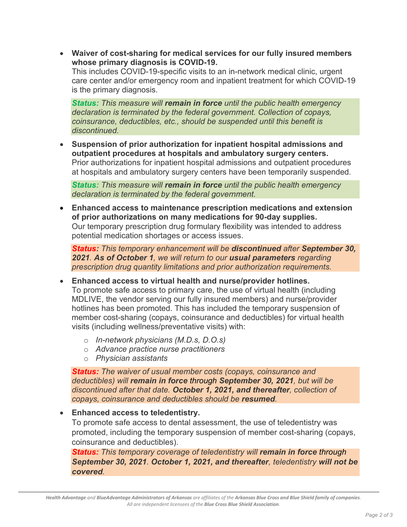• **Waiver of cost-sharing for medical services for our fully insured members whose primary diagnosis is COVID-19.**

This includes COVID-19-specific visits to an in-network medical clinic, urgent care center and/or emergency room and inpatient treatment for which COVID-19 is the primary diagnosis.

*Status: This measure will remain in force until the public health emergency declaration is terminated by the federal government. Collection of copays, coinsurance, deductibles, etc., should be suspended until this benefit is discontinued.*

• **Suspension of prior authorization for inpatient hospital admissions and outpatient procedures at hospitals and ambulatory surgery centers.** Prior authorizations for inpatient hospital admissions and outpatient procedures at hospitals and ambulatory surgery centers have been temporarily suspended*.*

*Status: This measure will remain in force until the public health emergency declaration is terminated by the federal government.*

• **Enhanced access to maintenance prescription medications and extension of prior authorizations on many medications for 90-day supplies.** Our temporary prescription drug formulary flexibility was intended to address potential medication shortages or access issues.

*Status: This temporary enhancement will be discontinued after September 30, 2021. As of October 1, we will return to our usual parameters regarding prescription drug quantity limitations and prior authorization requirements.*

- **Enhanced access to virtual health and nurse/provider hotlines.** To promote safe access to primary care, the use of virtual health (including MDLIVE, the vendor serving our fully insured members) and nurse/provider hotlines has been promoted. This has included the temporary suspension of member cost-sharing (copays, coinsurance and deductibles) for virtual health visits (including wellness/preventative visits) with:
	- o *In-network physicians (M.D.s, D.O.s)*
	- o *Advance practice nurse practitioners*
	- o *Physician assistants*

*Status: The waiver of usual member costs (copays, coinsurance and deductibles) will remain in force through September 30, 2021, but will be discontinued after that date. October 1, 2021, and thereafter, collection of copays, coinsurance and deductibles should be resumed.* 

## • **Enhanced access to teledentistry.**

To promote safe access to dental assessment, the use of teledentistry was promoted, including the temporary suspension of member cost-sharing (copays, coinsurance and deductibles).

*Status: This temporary coverage of teledentistry will remain in force through September 30, 2021. October 1, 2021, and thereafter, teledentistry will not be covered.*

*Health Advantage and BlueAdvantage Administrators of Arkansas are affiliates of the Arkansas Blue Cross and Blue Shield family of companies. All are independent licensees of the Blue Cross Blue Shield Association.*